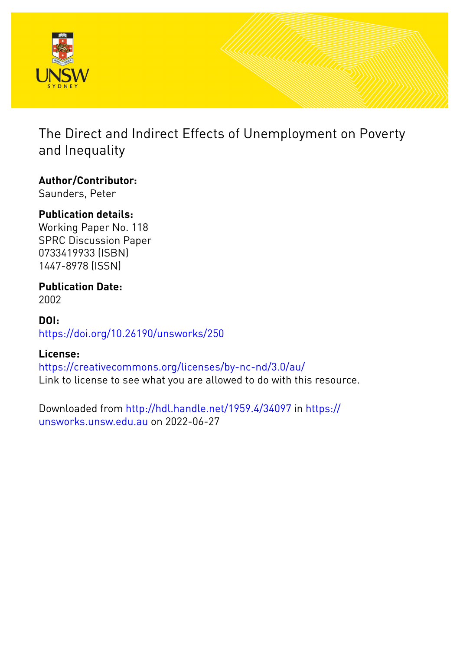

The Direct and Indirect Effects of Unemployment on Poverty and Inequality

## **Author/Contributor:**

Saunders, Peter

## **Publication details:**

Working Paper No. 118 SPRC Discussion Paper 0733419933 (ISBN) 1447-8978 (ISSN)

#### **Publication Date:** 2002

### **DOI:** [https://doi.org/10.26190/unsworks/250](http://dx.doi.org/https://doi.org/10.26190/unsworks/250)

## **License:**

<https://creativecommons.org/licenses/by-nc-nd/3.0/au/> Link to license to see what you are allowed to do with this resource.

Downloaded from <http://hdl.handle.net/1959.4/34097> in [https://](https://unsworks.unsw.edu.au) [unsworks.unsw.edu.au](https://unsworks.unsw.edu.au) on 2022-06-27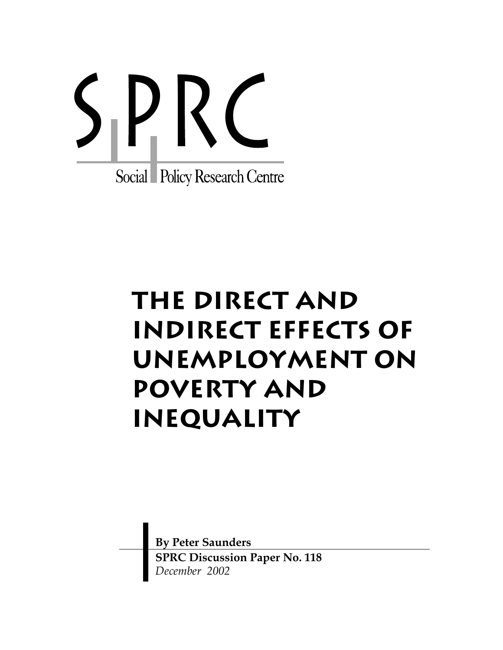

# **The Direct and Indirect Effects of Unemployment on Poverty and Inequality**

**By Peter Saunders SPRC Discussion Paper No. 118**  *December 2002*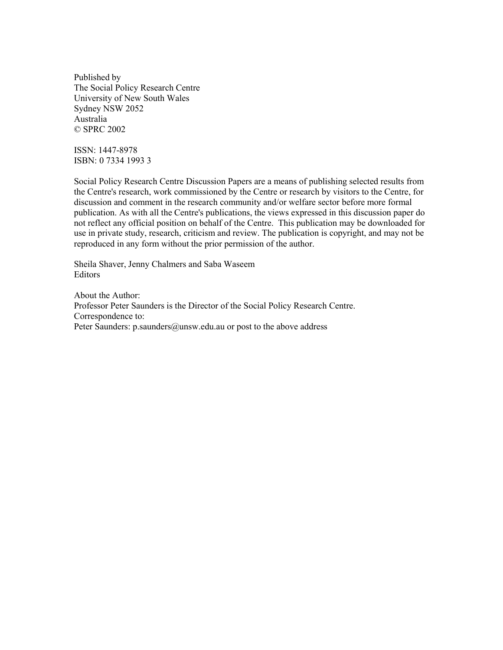Published by The Social Policy Research Centre University of New South Wales Sydney NSW 2052 Australia © SPRC 2002

ISSN: 1447-8978 ISBN: 0 7334 1993 3

Social Policy Research Centre Discussion Papers are a means of publishing selected results from the Centre's research, work commissioned by the Centre or research by visitors to the Centre, for discussion and comment in the research community and/or welfare sector before more formal publication. As with all the Centre's publications, the views expressed in this discussion paper do not reflect any official position on behalf of the Centre. This publication may be downloaded for use in private study, research, criticism and review. The publication is copyright, and may not be reproduced in any form without the prior permission of the author.

Sheila Shaver, Jenny Chalmers and Saba Waseem Editors

About the Author: Professor Peter Saunders is the Director of the Social Policy Research Centre. Correspondence to: Peter Saunders: p.saunders@unsw.edu.au or post to the above address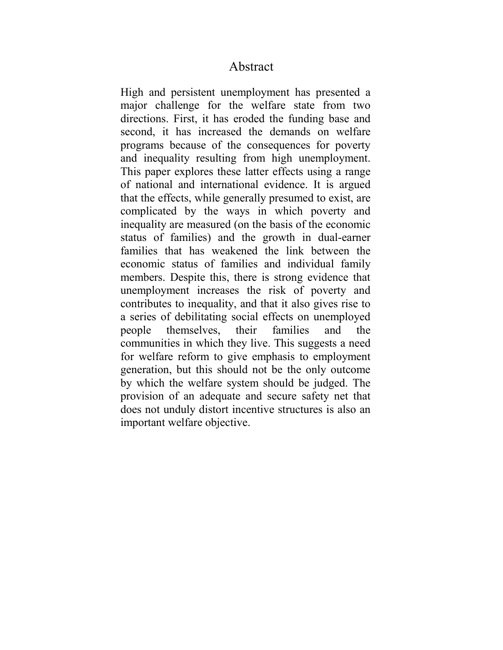#### Abstract

High and persistent unemployment has presented a major challenge for the welfare state from two directions. First, it has eroded the funding base and second, it has increased the demands on welfare programs because of the consequences for poverty and inequality resulting from high unemployment. This paper explores these latter effects using a range of national and international evidence. It is argued that the effects, while generally presumed to exist, are complicated by the ways in which poverty and inequality are measured (on the basis of the economic status of families) and the growth in dual-earner families that has weakened the link between the economic status of families and individual family members. Despite this, there is strong evidence that unemployment increases the risk of poverty and contributes to inequality, and that it also gives rise to a series of debilitating social effects on unemployed people themselves, their families and the communities in which they live. This suggests a need for welfare reform to give emphasis to employment generation, but this should not be the only outcome by which the welfare system should be judged. The provision of an adequate and secure safety net that does not unduly distort incentive structures is also an important welfare objective.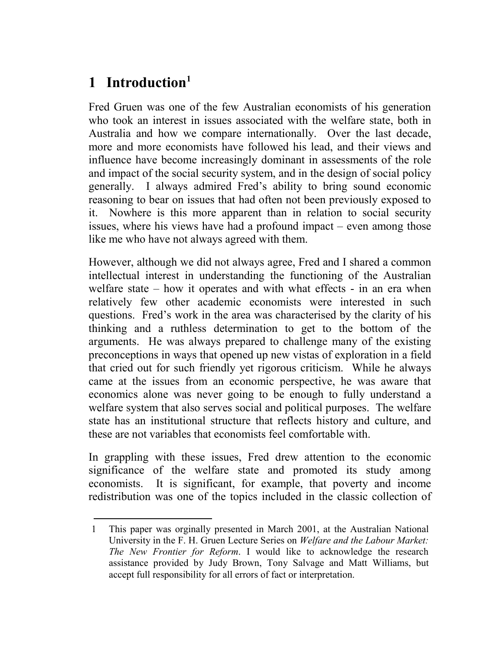# 1 Introduction<sup>1</sup>

Fred Gruen was one of the few Australian economists of his generation who took an interest in issues associated with the welfare state, both in Australia and how we compare internationally. Over the last decade, more and more economists have followed his lead, and their views and influence have become increasingly dominant in assessments of the role and impact of the social security system, and in the design of social policy generally. I always admired Fred's ability to bring sound economic reasoning to bear on issues that had often not been previously exposed to it. Nowhere is this more apparent than in relation to social security issues, where his views have had a profound impact – even among those like me who have not always agreed with them.

However, although we did not always agree, Fred and I shared a common intellectual interest in understanding the functioning of the Australian welfare state – how it operates and with what effects - in an era when relatively few other academic economists were interested in such questions. Fred's work in the area was characterised by the clarity of his thinking and a ruthless determination to get to the bottom of the arguments. He was always prepared to challenge many of the existing preconceptions in ways that opened up new vistas of exploration in a field that cried out for such friendly yet rigorous criticism. While he always came at the issues from an economic perspective, he was aware that economics alone was never going to be enough to fully understand a welfare system that also serves social and political purposes. The welfare state has an institutional structure that reflects history and culture, and these are not variables that economists feel comfortable with.

In grappling with these issues, Fred drew attention to the economic significance of the welfare state and promoted its study among economists. It is significant, for example, that poverty and income redistribution was one of the topics included in the classic collection of

<sup>1</sup> This paper was orginally presented in March 2001, at the Australian National University in the F. H. Gruen Lecture Series on *Welfare and the Labour Market: The New Frontier for Reform*. I would like to acknowledge the research assistance provided by Judy Brown, Tony Salvage and Matt Williams, but accept full responsibility for all errors of fact or interpretation.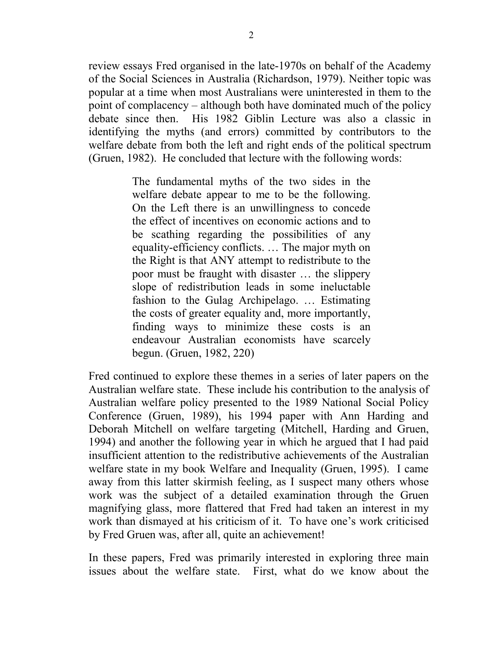review essays Fred organised in the late-1970s on behalf of the Academy of the Social Sciences in Australia (Richardson, 1979). Neither topic was popular at a time when most Australians were uninterested in them to the point of complacency – although both have dominated much of the policy debate since then. His 1982 Giblin Lecture was also a classic in identifying the myths (and errors) committed by contributors to the welfare debate from both the left and right ends of the political spectrum (Gruen, 1982). He concluded that lecture with the following words:

> The fundamental myths of the two sides in the welfare debate appear to me to be the following. On the Left there is an unwillingness to concede the effect of incentives on economic actions and to be scathing regarding the possibilities of any equality-efficiency conflicts. … The major myth on the Right is that ANY attempt to redistribute to the poor must be fraught with disaster … the slippery slope of redistribution leads in some ineluctable fashion to the Gulag Archipelago. … Estimating the costs of greater equality and, more importantly, finding ways to minimize these costs is an endeavour Australian economists have scarcely begun. (Gruen, 1982, 220)

Fred continued to explore these themes in a series of later papers on the Australian welfare state. These include his contribution to the analysis of Australian welfare policy presented to the 1989 National Social Policy Conference (Gruen, 1989), his 1994 paper with Ann Harding and Deborah Mitchell on welfare targeting (Mitchell, Harding and Gruen, 1994) and another the following year in which he argued that I had paid insufficient attention to the redistributive achievements of the Australian welfare state in my book Welfare and Inequality (Gruen, 1995). I came away from this latter skirmish feeling, as I suspect many others whose work was the subject of a detailed examination through the Gruen magnifying glass, more flattered that Fred had taken an interest in my work than dismayed at his criticism of it. To have one's work criticised by Fred Gruen was, after all, quite an achievement!

In these papers, Fred was primarily interested in exploring three main issues about the welfare state. First, what do we know about the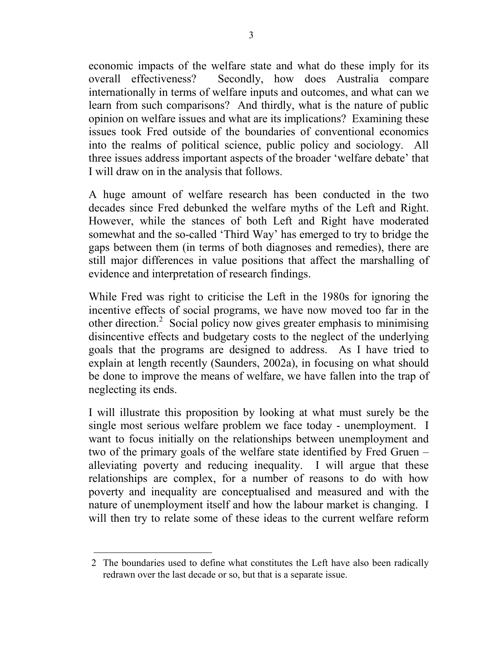economic impacts of the welfare state and what do these imply for its overall effectiveness? Secondly, how does Australia compare internationally in terms of welfare inputs and outcomes, and what can we learn from such comparisons? And thirdly, what is the nature of public opinion on welfare issues and what are its implications? Examining these issues took Fred outside of the boundaries of conventional economics into the realms of political science, public policy and sociology. All three issues address important aspects of the broader 'welfare debate' that I will draw on in the analysis that follows.

A huge amount of welfare research has been conducted in the two decades since Fred debunked the welfare myths of the Left and Right. However, while the stances of both Left and Right have moderated somewhat and the so-called 'Third Way' has emerged to try to bridge the gaps between them (in terms of both diagnoses and remedies), there are still major differences in value positions that affect the marshalling of evidence and interpretation of research findings.

While Fred was right to criticise the Left in the 1980s for ignoring the incentive effects of social programs, we have now moved too far in the other direction.<sup>2</sup> Social policy now gives greater emphasis to minimising disincentive effects and budgetary costs to the neglect of the underlying goals that the programs are designed to address. As I have tried to explain at length recently (Saunders, 2002a), in focusing on what should be done to improve the means of welfare, we have fallen into the trap of neglecting its ends.

I will illustrate this proposition by looking at what must surely be the single most serious welfare problem we face today - unemployment. I want to focus initially on the relationships between unemployment and two of the primary goals of the welfare state identified by Fred Gruen – alleviating poverty and reducing inequality. I will argue that these relationships are complex, for a number of reasons to do with how poverty and inequality are conceptualised and measured and with the nature of unemployment itself and how the labour market is changing. I will then try to relate some of these ideas to the current welfare reform

<sup>2</sup> The boundaries used to define what constitutes the Left have also been radically redrawn over the last decade or so, but that is a separate issue.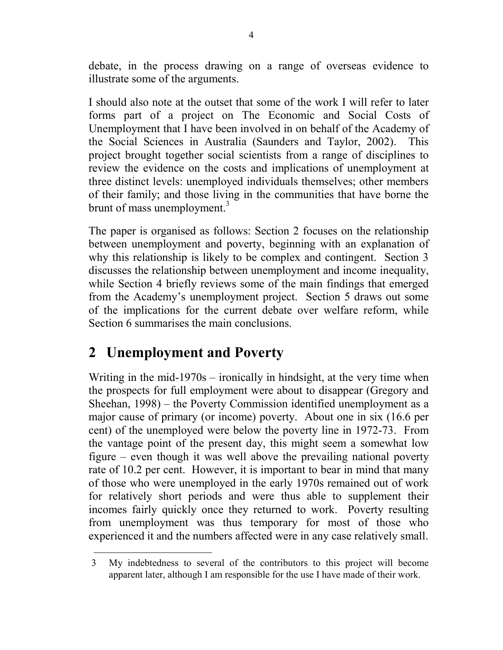debate, in the process drawing on a range of overseas evidence to illustrate some of the arguments.

I should also note at the outset that some of the work I will refer to later forms part of a project on The Economic and Social Costs of Unemployment that I have been involved in on behalf of the Academy of the Social Sciences in Australia (Saunders and Taylor, 2002). This project brought together social scientists from a range of disciplines to review the evidence on the costs and implications of unemployment at three distinct levels: unemployed individuals themselves; other members of their family; and those living in the communities that have borne the brunt of mass unemployment.<sup>3</sup>

The paper is organised as follows: Section 2 focuses on the relationship between unemployment and poverty, beginning with an explanation of why this relationship is likely to be complex and contingent. Section 3 discusses the relationship between unemployment and income inequality, while Section 4 briefly reviews some of the main findings that emerged from the Academy's unemployment project. Section 5 draws out some of the implications for the current debate over welfare reform, while Section 6 summarises the main conclusions.

# **2 Unemployment and Poverty**

Writing in the mid-1970s – ironically in hindsight, at the very time when the prospects for full employment were about to disappear (Gregory and Sheehan, 1998) – the Poverty Commission identified unemployment as a major cause of primary (or income) poverty. About one in six (16.6 per cent) of the unemployed were below the poverty line in 1972-73. From the vantage point of the present day, this might seem a somewhat low figure – even though it was well above the prevailing national poverty rate of 10.2 per cent. However, it is important to bear in mind that many of those who were unemployed in the early 1970s remained out of work for relatively short periods and were thus able to supplement their incomes fairly quickly once they returned to work. Poverty resulting from unemployment was thus temporary for most of those who experienced it and the numbers affected were in any case relatively small.

<sup>3</sup> My indebtedness to several of the contributors to this project will become apparent later, although I am responsible for the use I have made of their work.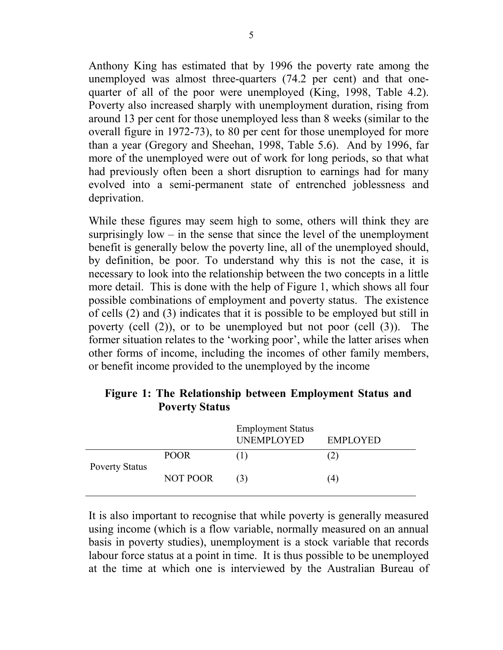Anthony King has estimated that by 1996 the poverty rate among the unemployed was almost three-quarters (74.2 per cent) and that onequarter of all of the poor were unemployed (King, 1998, Table 4.2). Poverty also increased sharply with unemployment duration, rising from around 13 per cent for those unemployed less than 8 weeks (similar to the overall figure in 1972-73), to 80 per cent for those unemployed for more than a year (Gregory and Sheehan, 1998, Table 5.6). And by 1996, far more of the unemployed were out of work for long periods, so that what had previously often been a short disruption to earnings had for many evolved into a semi-permanent state of entrenched joblessness and deprivation.

While these figures may seem high to some, others will think they are surprisingly  $low - in$  the sense that since the level of the unemployment benefit is generally below the poverty line, all of the unemployed should, by definition, be poor. To understand why this is not the case, it is necessary to look into the relationship between the two concepts in a little more detail. This is done with the help of Figure 1, which shows all four possible combinations of employment and poverty status. The existence of cells (2) and (3) indicates that it is possible to be employed but still in poverty (cell (2)), or to be unemployed but not poor (cell (3)). The former situation relates to the 'working poor', while the latter arises when other forms of income, including the incomes of other family members, or benefit income provided to the unemployed by the income

|                       |             | <b>Employment Status</b><br>UNEMPLOYED | <b>EMPLOYED</b> |
|-----------------------|-------------|----------------------------------------|-----------------|
| <b>Poverty Status</b> | <b>POOR</b> |                                        |                 |
|                       | NOT POOR    | (3)                                    | 4)              |

#### **Figure 1: The Relationship between Employment Status and Poverty Status**

It is also important to recognise that while poverty is generally measured using income (which is a flow variable, normally measured on an annual basis in poverty studies), unemployment is a stock variable that records labour force status at a point in time. It is thus possible to be unemployed at the time at which one is interviewed by the Australian Bureau of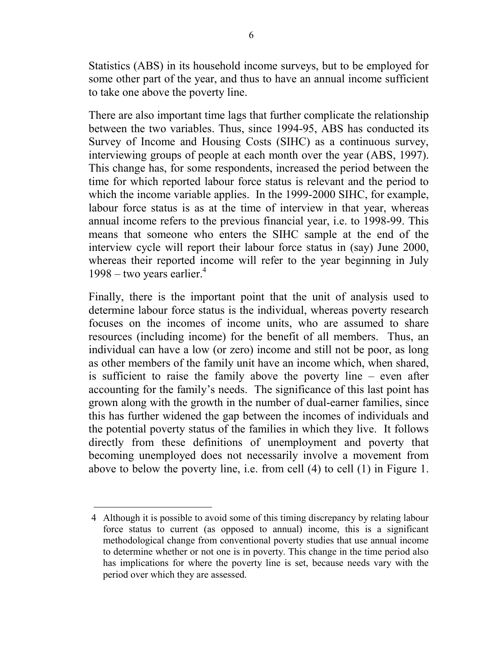Statistics (ABS) in its household income surveys, but to be employed for some other part of the year, and thus to have an annual income sufficient to take one above the poverty line.

There are also important time lags that further complicate the relationship between the two variables. Thus, since 1994-95, ABS has conducted its Survey of Income and Housing Costs (SIHC) as a continuous survey, interviewing groups of people at each month over the year (ABS, 1997). This change has, for some respondents, increased the period between the time for which reported labour force status is relevant and the period to which the income variable applies. In the 1999-2000 SIHC, for example, labour force status is as at the time of interview in that year, whereas annual income refers to the previous financial year, i.e. to 1998-99. This means that someone who enters the SIHC sample at the end of the interview cycle will report their labour force status in (say) June 2000, whereas their reported income will refer to the year beginning in July 1998 – two years earlier. $4$ 

Finally, there is the important point that the unit of analysis used to determine labour force status is the individual, whereas poverty research focuses on the incomes of income units, who are assumed to share resources (including income) for the benefit of all members. Thus, an individual can have a low (or zero) income and still not be poor, as long as other members of the family unit have an income which, when shared, is sufficient to raise the family above the poverty line – even after accounting for the family's needs. The significance of this last point has grown along with the growth in the number of dual-earner families, since this has further widened the gap between the incomes of individuals and the potential poverty status of the families in which they live. It follows directly from these definitions of unemployment and poverty that becoming unemployed does not necessarily involve a movement from above to below the poverty line, i.e. from cell (4) to cell (1) in Figure 1.

<sup>4</sup> Although it is possible to avoid some of this timing discrepancy by relating labour force status to current (as opposed to annual) income, this is a significant methodological change from conventional poverty studies that use annual income to determine whether or not one is in poverty. This change in the time period also has implications for where the poverty line is set, because needs vary with the period over which they are assessed.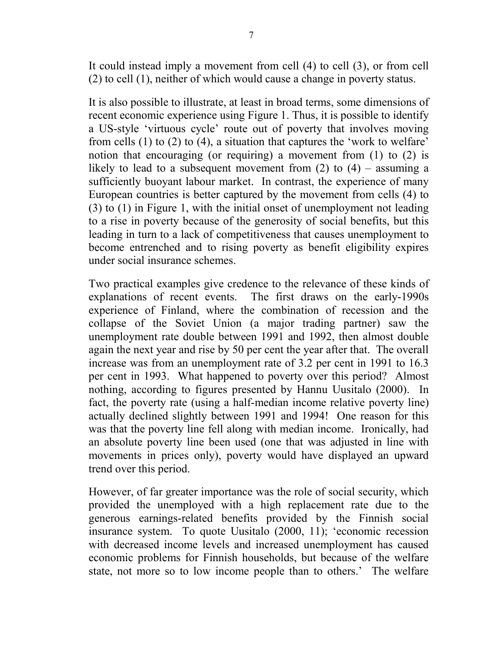It could instead imply a movement from cell (4) to cell (3), or from cell (2) to cell (1), neither of which would cause a change in poverty status.

It is also possible to illustrate, at least in broad terms, some dimensions of recent economic experience using Figure 1. Thus, it is possible to identify a US-style 'virtuous cycle' route out of poverty that involves moving from cells (1) to (2) to (4), a situation that captures the 'work to welfare' notion that encouraging (or requiring) a movement from (1) to (2) is likely to lead to a subsequent movement from  $(2)$  to  $(4)$  – assuming a sufficiently buoyant labour market. In contrast, the experience of many European countries is better captured by the movement from cells (4) to (3) to (1) in Figure 1, with the initial onset of unemployment not leading to a rise in poverty because of the generosity of social benefits, but this leading in turn to a lack of competitiveness that causes unemployment to become entrenched and to rising poverty as benefit eligibility expires under social insurance schemes.

Two practical examples give credence to the relevance of these kinds of explanations of recent events. The first draws on the early-1990s experience of Finland, where the combination of recession and the collapse of the Soviet Union (a major trading partner) saw the unemployment rate double between 1991 and 1992, then almost double again the next year and rise by 50 per cent the year after that. The overall increase was from an unemployment rate of 3.2 per cent in 1991 to 16.3 per cent in 1993. What happened to poverty over this period? Almost nothing, according to figures presented by Hannu Uusitalo (2000). In fact, the poverty rate (using a half-median income relative poverty line) actually declined slightly between 1991 and 1994! One reason for this was that the poverty line fell along with median income. Ironically, had an absolute poverty line been used (one that was adjusted in line with movements in prices only), poverty would have displayed an upward trend over this period.

However, of far greater importance was the role of social security, which provided the unemployed with a high replacement rate due to the generous earnings-related benefits provided by the Finnish social insurance system. To quote Uusitalo (2000, 11); 'economic recession with decreased income levels and increased unemployment has caused economic problems for Finnish households, but because of the welfare state, not more so to low income people than to others.' The welfare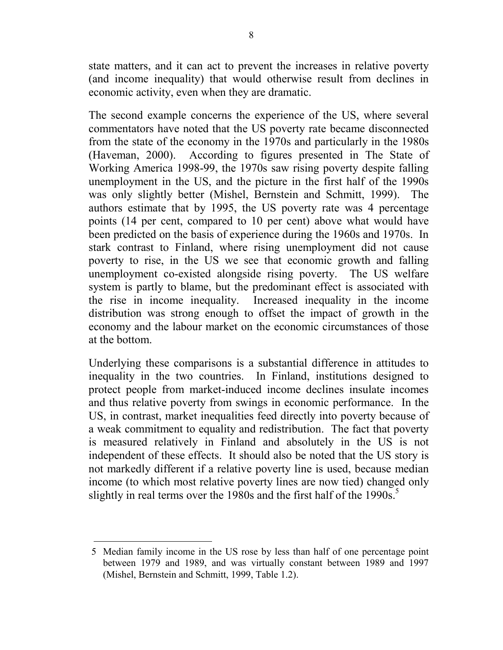state matters, and it can act to prevent the increases in relative poverty (and income inequality) that would otherwise result from declines in economic activity, even when they are dramatic.

The second example concerns the experience of the US, where several commentators have noted that the US poverty rate became disconnected from the state of the economy in the 1970s and particularly in the 1980s (Haveman, 2000). According to figures presented in The State of Working America 1998-99, the 1970s saw rising poverty despite falling unemployment in the US, and the picture in the first half of the 1990s was only slightly better (Mishel, Bernstein and Schmitt, 1999). The authors estimate that by 1995, the US poverty rate was 4 percentage points (14 per cent, compared to 10 per cent) above what would have been predicted on the basis of experience during the 1960s and 1970s. In stark contrast to Finland, where rising unemployment did not cause poverty to rise, in the US we see that economic growth and falling unemployment co-existed alongside rising poverty. The US welfare system is partly to blame, but the predominant effect is associated with the rise in income inequality. Increased inequality in the income distribution was strong enough to offset the impact of growth in the economy and the labour market on the economic circumstances of those at the bottom.

Underlying these comparisons is a substantial difference in attitudes to inequality in the two countries. In Finland, institutions designed to protect people from market-induced income declines insulate incomes and thus relative poverty from swings in economic performance. In the US, in contrast, market inequalities feed directly into poverty because of a weak commitment to equality and redistribution. The fact that poverty is measured relatively in Finland and absolutely in the US is not independent of these effects. It should also be noted that the US story is not markedly different if a relative poverty line is used, because median income (to which most relative poverty lines are now tied) changed only slightly in real terms over the 1980s and the first half of the 1990s.<sup>5</sup>

<sup>5</sup> Median family income in the US rose by less than half of one percentage point between 1979 and 1989, and was virtually constant between 1989 and 1997 (Mishel, Bernstein and Schmitt, 1999, Table 1.2).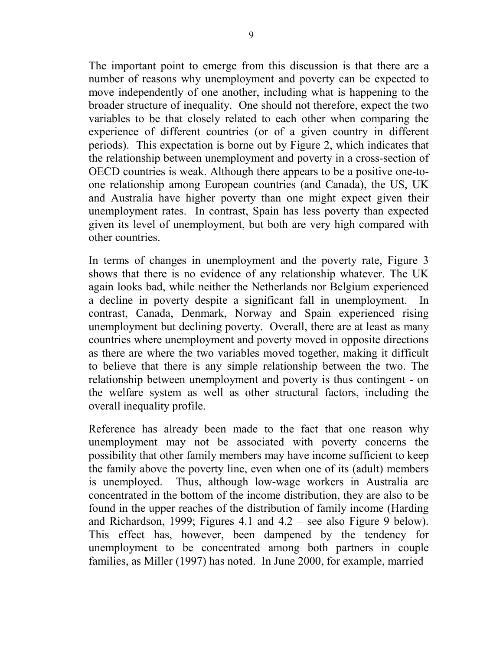The important point to emerge from this discussion is that there are a number of reasons why unemployment and poverty can be expected to move independently of one another, including what is happening to the broader structure of inequality. One should not therefore, expect the two variables to be that closely related to each other when comparing the experience of different countries (or of a given country in different periods). This expectation is borne out by Figure 2, which indicates that the relationship between unemployment and poverty in a cross-section of OECD countries is weak. Although there appears to be a positive one-toone relationship among European countries (and Canada), the US, UK and Australia have higher poverty than one might expect given their unemployment rates. In contrast, Spain has less poverty than expected given its level of unemployment, but both are very high compared with other countries.

In terms of changes in unemployment and the poverty rate, Figure 3 shows that there is no evidence of any relationship whatever. The UK again looks bad, while neither the Netherlands nor Belgium experienced a decline in poverty despite a significant fall in unemployment. In contrast, Canada, Denmark, Norway and Spain experienced rising unemployment but declining poverty. Overall, there are at least as many countries where unemployment and poverty moved in opposite directions as there are where the two variables moved together, making it difficult to believe that there is any simple relationship between the two. The relationship between unemployment and poverty is thus contingent - on the welfare system as well as other structural factors, including the overall inequality profile.

Reference has already been made to the fact that one reason why unemployment may not be associated with poverty concerns the possibility that other family members may have income sufficient to keep the family above the poverty line, even when one of its (adult) members is unemployed. Thus, although low-wage workers in Australia are concentrated in the bottom of the income distribution, they are also to be found in the upper reaches of the distribution of family income (Harding and Richardson, 1999; Figures 4.1 and 4.2 – see also Figure 9 below). This effect has, however, been dampened by the tendency for unemployment to be concentrated among both partners in couple families, as Miller (1997) has noted. In June 2000, for example, married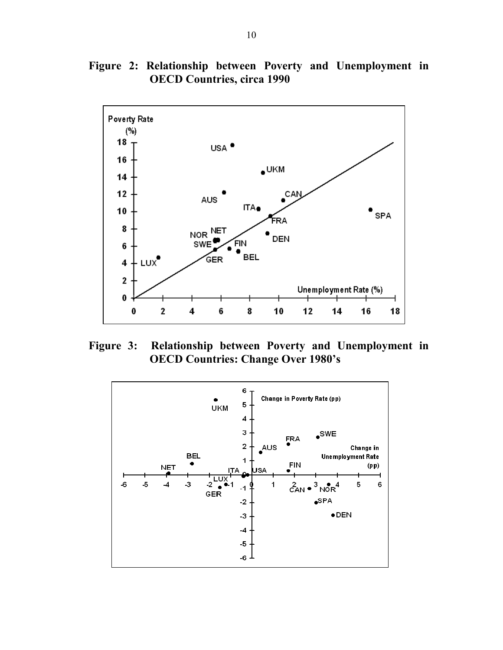**Figure 2: Relationship between Poverty and Unemployment in OECD Countries, circa 1990** 



**Figure 3: Relationship between Poverty and Unemployment in OECD Countries: Change Over 1980's** 

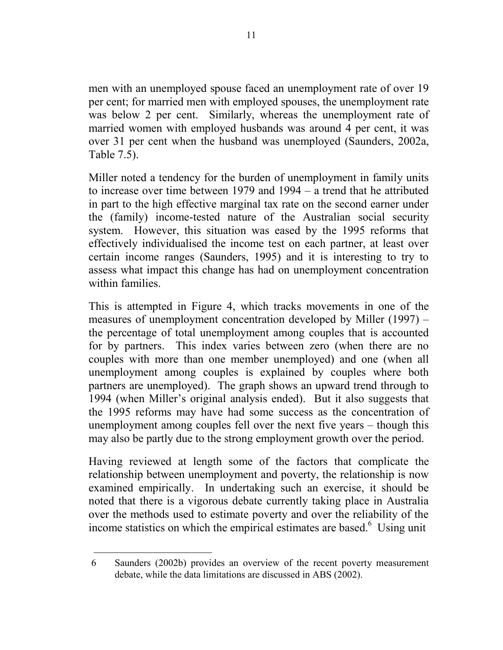men with an unemployed spouse faced an unemployment rate of over 19 per cent; for married men with employed spouses, the unemployment rate was below 2 per cent. Similarly, whereas the unemployment rate of married women with employed husbands was around 4 per cent, it was over 31 per cent when the husband was unemployed (Saunders, 2002a, Table 7.5).

Miller noted a tendency for the burden of unemployment in family units to increase over time between 1979 and 1994 – a trend that he attributed in part to the high effective marginal tax rate on the second earner under the (family) income-tested nature of the Australian social security system. However, this situation was eased by the 1995 reforms that effectively individualised the income test on each partner, at least over certain income ranges (Saunders, 1995) and it is interesting to try to assess what impact this change has had on unemployment concentration within families.

This is attempted in Figure 4, which tracks movements in one of the measures of unemployment concentration developed by Miller (1997) – the percentage of total unemployment among couples that is accounted for by partners. This index varies between zero (when there are no couples with more than one member unemployed) and one (when all unemployment among couples is explained by couples where both partners are unemployed). The graph shows an upward trend through to 1994 (when Miller's original analysis ended). But it also suggests that the 1995 reforms may have had some success as the concentration of unemployment among couples fell over the next five years – though this may also be partly due to the strong employment growth over the period.

Having reviewed at length some of the factors that complicate the relationship between unemployment and poverty, the relationship is now examined empirically. In undertaking such an exercise, it should be noted that there is a vigorous debate currently taking place in Australia over the methods used to estimate poverty and over the reliability of the income statistics on which the empirical estimates are based.<sup>6</sup> Using unit

<sup>6</sup> Saunders (2002b) provides an overview of the recent poverty measurement debate, while the data limitations are discussed in ABS (2002).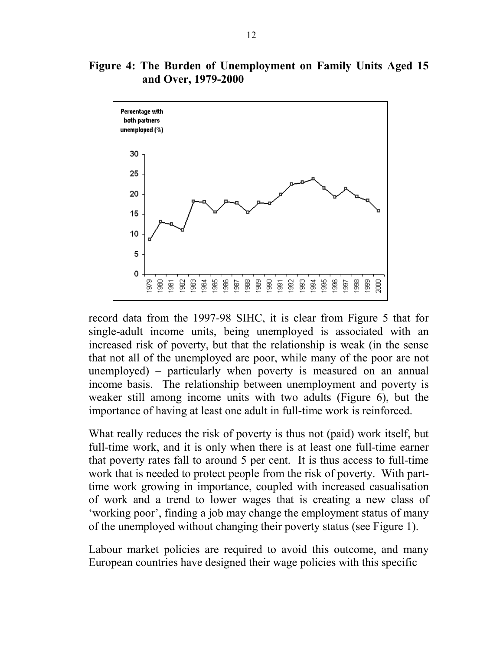#### **Figure 4: The Burden of Unemployment on Family Units Aged 15 and Over, 1979-2000**



record data from the 1997-98 SIHC, it is clear from Figure 5 that for single-adult income units, being unemployed is associated with an increased risk of poverty, but that the relationship is weak (in the sense that not all of the unemployed are poor, while many of the poor are not unemployed) – particularly when poverty is measured on an annual income basis. The relationship between unemployment and poverty is weaker still among income units with two adults (Figure 6), but the importance of having at least one adult in full-time work is reinforced.

What really reduces the risk of poverty is thus not (paid) work itself, but full-time work, and it is only when there is at least one full-time earner that poverty rates fall to around 5 per cent. It is thus access to full-time work that is needed to protect people from the risk of poverty. With parttime work growing in importance, coupled with increased casualisation of work and a trend to lower wages that is creating a new class of 'working poor', finding a job may change the employment status of many of the unemployed without changing their poverty status (see Figure 1).

Labour market policies are required to avoid this outcome, and many European countries have designed their wage policies with this specific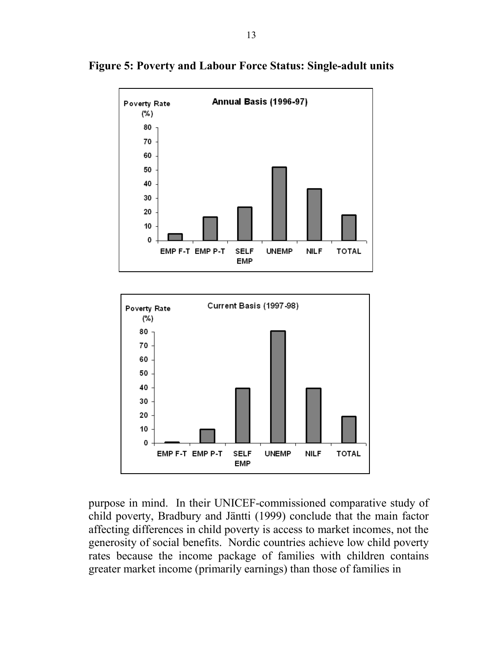

**Figure 5: Poverty and Labour Force Status: Single-adult units** 



purpose in mind. In their UNICEF-commissioned comparative study of child poverty, Bradbury and Jäntti (1999) conclude that the main factor affecting differences in child poverty is access to market incomes, not the generosity of social benefits. Nordic countries achieve low child poverty rates because the income package of families with children contains greater market income (primarily earnings) than those of families in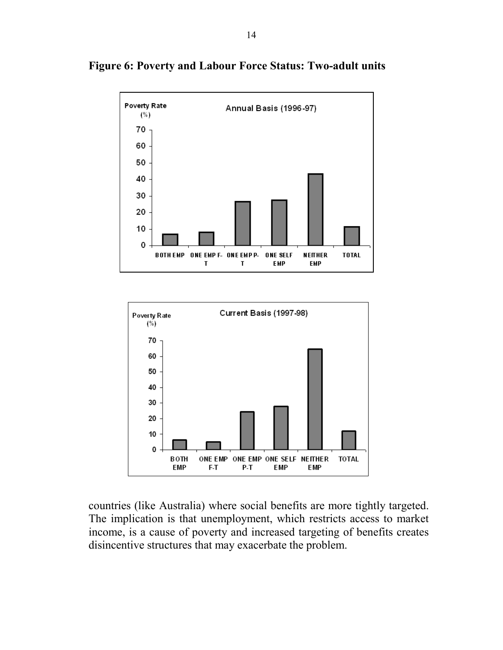

**Figure 6: Poverty and Labour Force Status: Two-adult units** 



countries (like Australia) where social benefits are more tightly targeted. The implication is that unemployment, which restricts access to market income, is a cause of poverty and increased targeting of benefits creates disincentive structures that may exacerbate the problem.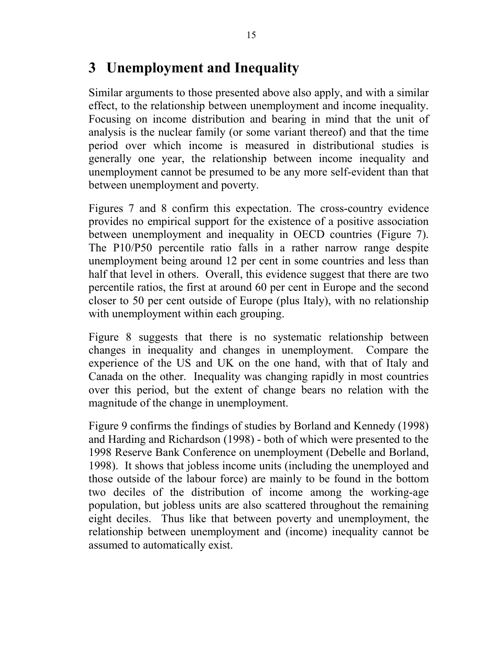## **3 Unemployment and Inequality**

Similar arguments to those presented above also apply, and with a similar effect, to the relationship between unemployment and income inequality. Focusing on income distribution and bearing in mind that the unit of analysis is the nuclear family (or some variant thereof) and that the time period over which income is measured in distributional studies is generally one year, the relationship between income inequality and unemployment cannot be presumed to be any more self-evident than that between unemployment and poverty.

Figures 7 and 8 confirm this expectation. The cross-country evidence provides no empirical support for the existence of a positive association between unemployment and inequality in OECD countries (Figure 7). The P10/P50 percentile ratio falls in a rather narrow range despite unemployment being around 12 per cent in some countries and less than half that level in others. Overall, this evidence suggest that there are two percentile ratios, the first at around 60 per cent in Europe and the second closer to 50 per cent outside of Europe (plus Italy), with no relationship with unemployment within each grouping.

Figure 8 suggests that there is no systematic relationship between changes in inequality and changes in unemployment. Compare the experience of the US and UK on the one hand, with that of Italy and Canada on the other. Inequality was changing rapidly in most countries over this period, but the extent of change bears no relation with the magnitude of the change in unemployment.

Figure 9 confirms the findings of studies by Borland and Kennedy (1998) and Harding and Richardson (1998) - both of which were presented to the 1998 Reserve Bank Conference on unemployment (Debelle and Borland, 1998). It shows that jobless income units (including the unemployed and those outside of the labour force) are mainly to be found in the bottom two deciles of the distribution of income among the working-age population, but jobless units are also scattered throughout the remaining eight deciles. Thus like that between poverty and unemployment, the relationship between unemployment and (income) inequality cannot be assumed to automatically exist.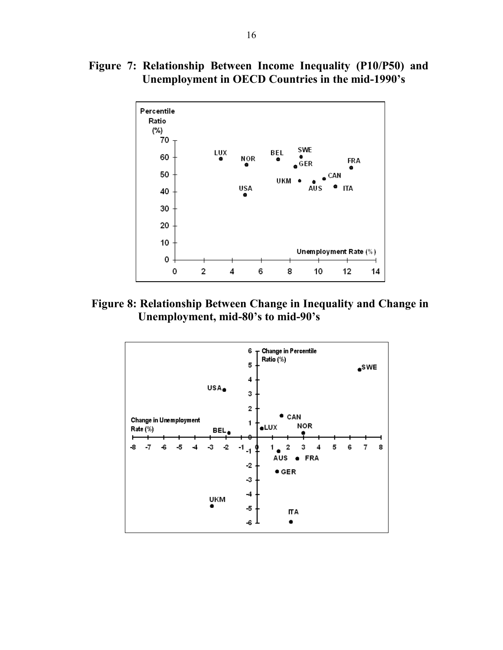**Figure 7: Relationship Between Income Inequality (P10/P50) and Unemployment in OECD Countries in the mid-1990's** 



**Figure 8: Relationship Between Change in Inequality and Change in Unemployment, mid-80's to mid-90's** 

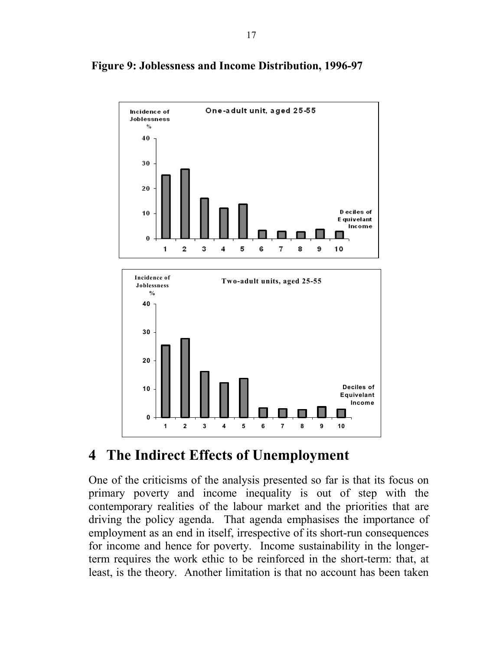

#### **Figure 9: Joblessness and Income Distribution, 1996-97**

## **4 The Indirect Effects of Unemployment**

One of the criticisms of the analysis presented so far is that its focus on primary poverty and income inequality is out of step with the contemporary realities of the labour market and the priorities that are driving the policy agenda. That agenda emphasises the importance of employment as an end in itself, irrespective of its short-run consequences for income and hence for poverty. Income sustainability in the longerterm requires the work ethic to be reinforced in the short-term: that, at least, is the theory. Another limitation is that no account has been taken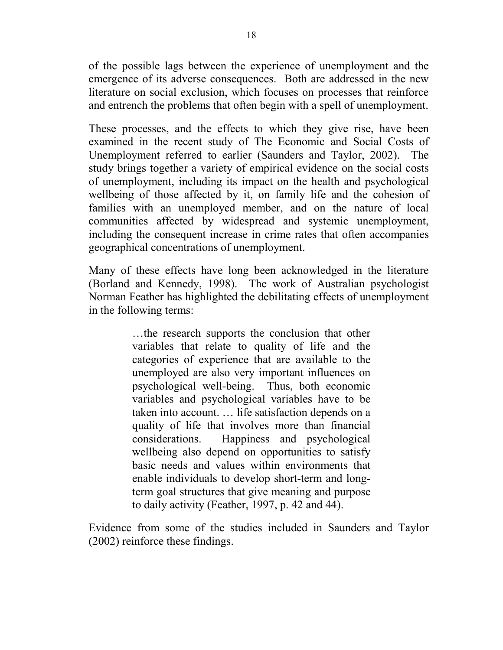of the possible lags between the experience of unemployment and the emergence of its adverse consequences. Both are addressed in the new literature on social exclusion, which focuses on processes that reinforce and entrench the problems that often begin with a spell of unemployment.

These processes, and the effects to which they give rise, have been examined in the recent study of The Economic and Social Costs of Unemployment referred to earlier (Saunders and Taylor, 2002). The study brings together a variety of empirical evidence on the social costs of unemployment, including its impact on the health and psychological wellbeing of those affected by it, on family life and the cohesion of families with an unemployed member, and on the nature of local communities affected by widespread and systemic unemployment, including the consequent increase in crime rates that often accompanies geographical concentrations of unemployment.

Many of these effects have long been acknowledged in the literature (Borland and Kennedy, 1998). The work of Australian psychologist Norman Feather has highlighted the debilitating effects of unemployment in the following terms:

> …the research supports the conclusion that other variables that relate to quality of life and the categories of experience that are available to the unemployed are also very important influences on psychological well-being. Thus, both economic variables and psychological variables have to be taken into account. … life satisfaction depends on a quality of life that involves more than financial considerations. Happiness and psychological wellbeing also depend on opportunities to satisfy basic needs and values within environments that enable individuals to develop short-term and longterm goal structures that give meaning and purpose to daily activity (Feather, 1997, p. 42 and 44).

Evidence from some of the studies included in Saunders and Taylor (2002) reinforce these findings.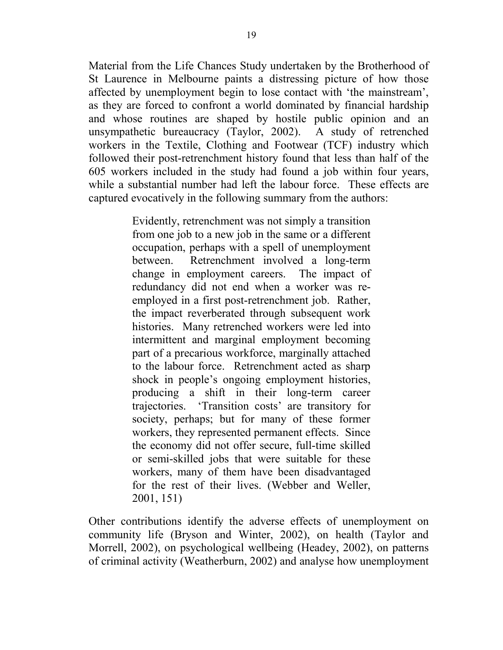Material from the Life Chances Study undertaken by the Brotherhood of St Laurence in Melbourne paints a distressing picture of how those affected by unemployment begin to lose contact with 'the mainstream', as they are forced to confront a world dominated by financial hardship and whose routines are shaped by hostile public opinion and an unsympathetic bureaucracy (Taylor, 2002). A study of retrenched workers in the Textile, Clothing and Footwear (TCF) industry which followed their post-retrenchment history found that less than half of the 605 workers included in the study had found a job within four years, while a substantial number had left the labour force. These effects are captured evocatively in the following summary from the authors:

> Evidently, retrenchment was not simply a transition from one job to a new job in the same or a different occupation, perhaps with a spell of unemployment between. Retrenchment involved a long-term change in employment careers. The impact of redundancy did not end when a worker was reemployed in a first post-retrenchment job. Rather, the impact reverberated through subsequent work histories. Many retrenched workers were led into intermittent and marginal employment becoming part of a precarious workforce, marginally attached to the labour force. Retrenchment acted as sharp shock in people's ongoing employment histories, producing a shift in their long-term career trajectories. 'Transition costs' are transitory for society, perhaps; but for many of these former workers, they represented permanent effects. Since the economy did not offer secure, full-time skilled or semi-skilled jobs that were suitable for these workers, many of them have been disadvantaged for the rest of their lives. (Webber and Weller, 2001, 151)

Other contributions identify the adverse effects of unemployment on community life (Bryson and Winter, 2002), on health (Taylor and Morrell, 2002), on psychological wellbeing (Headey, 2002), on patterns of criminal activity (Weatherburn, 2002) and analyse how unemployment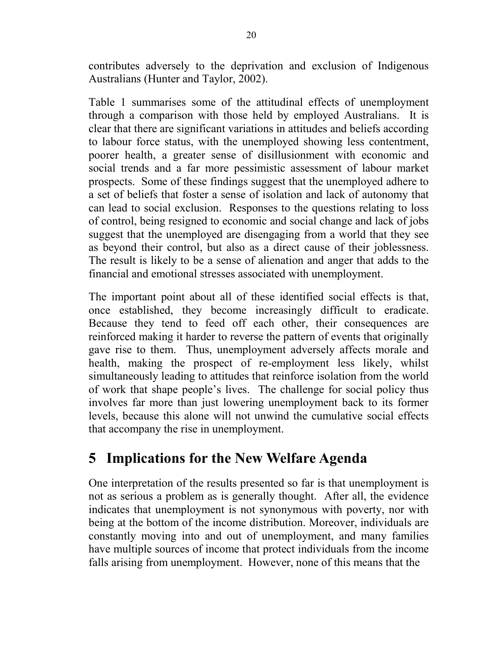contributes adversely to the deprivation and exclusion of Indigenous Australians (Hunter and Taylor, 2002).

Table 1 summarises some of the attitudinal effects of unemployment through a comparison with those held by employed Australians. It is clear that there are significant variations in attitudes and beliefs according to labour force status, with the unemployed showing less contentment, poorer health, a greater sense of disillusionment with economic and social trends and a far more pessimistic assessment of labour market prospects. Some of these findings suggest that the unemployed adhere to a set of beliefs that foster a sense of isolation and lack of autonomy that can lead to social exclusion. Responses to the questions relating to loss of control, being resigned to economic and social change and lack of jobs suggest that the unemployed are disengaging from a world that they see as beyond their control, but also as a direct cause of their joblessness. The result is likely to be a sense of alienation and anger that adds to the financial and emotional stresses associated with unemployment.

The important point about all of these identified social effects is that, once established, they become increasingly difficult to eradicate. Because they tend to feed off each other, their consequences are reinforced making it harder to reverse the pattern of events that originally gave rise to them. Thus, unemployment adversely affects morale and health, making the prospect of re-employment less likely, whilst simultaneously leading to attitudes that reinforce isolation from the world of work that shape people's lives. The challenge for social policy thus involves far more than just lowering unemployment back to its former levels, because this alone will not unwind the cumulative social effects that accompany the rise in unemployment.

# **5 Implications for the New Welfare Agenda**

One interpretation of the results presented so far is that unemployment is not as serious a problem as is generally thought. After all, the evidence indicates that unemployment is not synonymous with poverty, nor with being at the bottom of the income distribution. Moreover, individuals are constantly moving into and out of unemployment, and many families have multiple sources of income that protect individuals from the income falls arising from unemployment. However, none of this means that the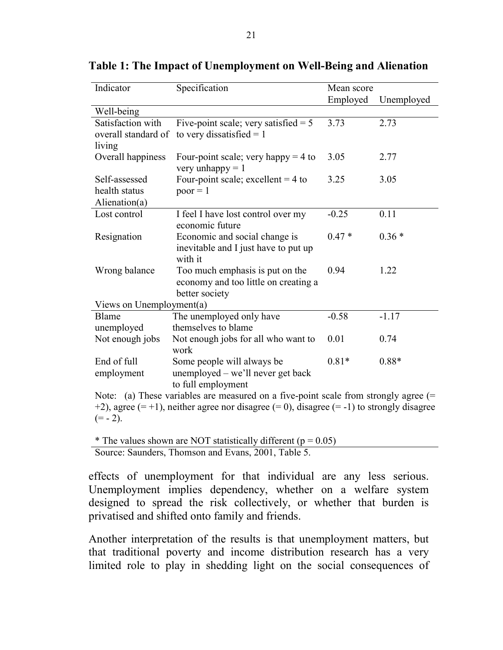| Indicator                                                                                         | Specification                                               | Mean score |            |  |
|---------------------------------------------------------------------------------------------------|-------------------------------------------------------------|------------|------------|--|
|                                                                                                   |                                                             | Employed   | Unemployed |  |
| Well-being                                                                                        |                                                             |            |            |  |
| Satisfaction with                                                                                 | Five-point scale; very satisfied $= 5$                      | 3.73       | 2.73       |  |
| overall standard of                                                                               | to very dissatisfied $= 1$                                  |            |            |  |
| living                                                                                            |                                                             |            |            |  |
| Overall happiness                                                                                 | Four-point scale; very happy $=$ 4 to<br>very unhappy $= 1$ | 3.05       | 2.77       |  |
| Self-assessed                                                                                     | Four-point scale; excellent = $4$ to                        | 3.25       | 3.05       |  |
| health status                                                                                     | $poor = 1$                                                  |            |            |  |
| Alienation(a)                                                                                     |                                                             |            |            |  |
| Lost control                                                                                      | I feel I have lost control over my<br>economic future       | $-0.25$    | 0.11       |  |
| Resignation                                                                                       | Economic and social change is                               | $0.47*$    | $0.36*$    |  |
|                                                                                                   | inevitable and I just have to put up                        |            |            |  |
|                                                                                                   | with it                                                     |            |            |  |
| Wrong balance                                                                                     | Too much emphasis is put on the                             | 0.94       | 1.22       |  |
|                                                                                                   | economy and too little on creating a                        |            |            |  |
|                                                                                                   | better society                                              |            |            |  |
| Views on Unemployment(a)                                                                          |                                                             |            |            |  |
| Blame                                                                                             | The unemployed only have                                    | $-0.58$    | $-1.17$    |  |
| unemployed                                                                                        | themselves to blame                                         |            |            |  |
| Not enough jobs                                                                                   | Not enough jobs for all who want to                         | 0.01       | 0.74       |  |
|                                                                                                   | work                                                        |            |            |  |
| End of full                                                                                       | Some people will always be                                  | $0.81*$    | $0.88*$    |  |
| employment                                                                                        | unemployed – we'll never get back<br>to full employment     |            |            |  |
| Note: (a) These variables are measured on a five-point scale from strongly agree $(=$             |                                                             |            |            |  |
| +2), agree $(= +1)$ , neither agree nor disagree $(= 0)$ , disagree $(= -1)$ to strongly disagree |                                                             |            |            |  |
| $(= -2)$ .                                                                                        |                                                             |            |            |  |
|                                                                                                   |                                                             |            |            |  |

**Table 1: The Impact of Unemployment on Well-Being and Alienation** 

\* The values shown are NOT statistically different ( $p = 0.05$ ) Source: Saunders, Thomson and Evans, 2001, Table 5.

effects of unemployment for that individual are any less serious. Unemployment implies dependency, whether on a welfare system designed to spread the risk collectively, or whether that burden is privatised and shifted onto family and friends.

Another interpretation of the results is that unemployment matters, but that traditional poverty and income distribution research has a very limited role to play in shedding light on the social consequences of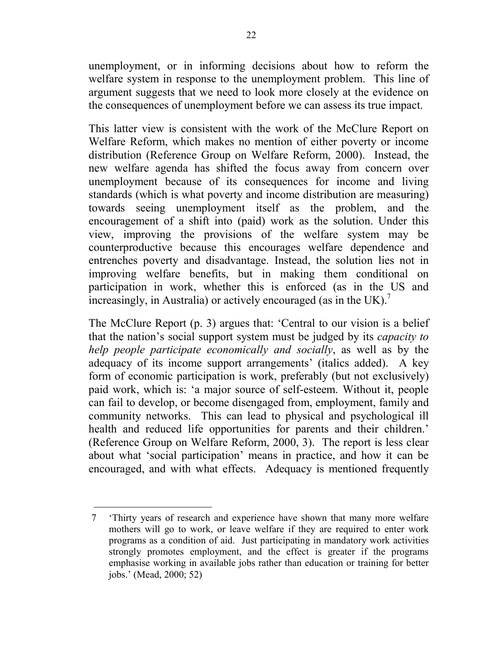unemployment, or in informing decisions about how to reform the welfare system in response to the unemployment problem. This line of argument suggests that we need to look more closely at the evidence on the consequences of unemployment before we can assess its true impact.

This latter view is consistent with the work of the McClure Report on Welfare Reform, which makes no mention of either poverty or income distribution (Reference Group on Welfare Reform, 2000). Instead, the new welfare agenda has shifted the focus away from concern over unemployment because of its consequences for income and living standards (which is what poverty and income distribution are measuring) towards seeing unemployment itself as the problem, and the encouragement of a shift into (paid) work as the solution. Under this view, improving the provisions of the welfare system may be counterproductive because this encourages welfare dependence and entrenches poverty and disadvantage. Instead, the solution lies not in improving welfare benefits, but in making them conditional on participation in work, whether this is enforced (as in the US and increasingly, in Australia) or actively encouraged (as in the UK).<sup>7</sup>

The McClure Report (p. 3) argues that: 'Central to our vision is a belief that the nation's social support system must be judged by its *capacity to help people participate economically and socially*, as well as by the adequacy of its income support arrangements' (italics added). A key form of economic participation is work, preferably (but not exclusively) paid work, which is: 'a major source of self-esteem. Without it, people can fail to develop, or become disengaged from, employment, family and community networks. This can lead to physical and psychological ill health and reduced life opportunities for parents and their children.' (Reference Group on Welfare Reform, 2000, 3). The report is less clear about what 'social participation' means in practice, and how it can be encouraged, and with what effects. Adequacy is mentioned frequently

<sup>7 &#</sup>x27;Thirty years of research and experience have shown that many more welfare mothers will go to work, or leave welfare if they are required to enter work programs as a condition of aid. Just participating in mandatory work activities strongly promotes employment, and the effect is greater if the programs emphasise working in available jobs rather than education or training for better jobs.' (Mead, 2000; 52)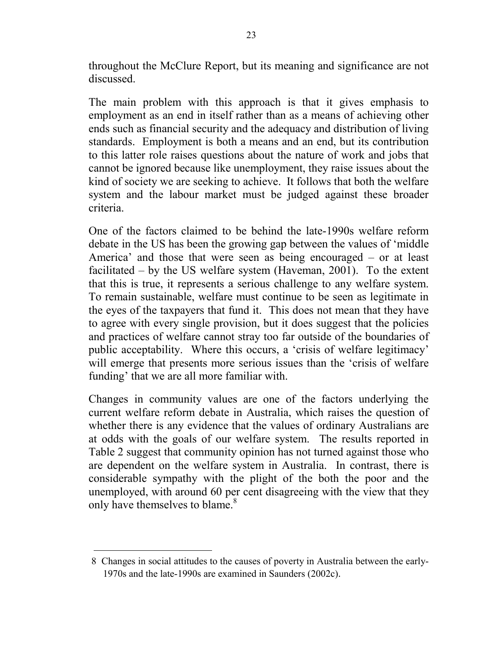throughout the McClure Report, but its meaning and significance are not discussed.

The main problem with this approach is that it gives emphasis to employment as an end in itself rather than as a means of achieving other ends such as financial security and the adequacy and distribution of living standards. Employment is both a means and an end, but its contribution to this latter role raises questions about the nature of work and jobs that cannot be ignored because like unemployment, they raise issues about the kind of society we are seeking to achieve. It follows that both the welfare system and the labour market must be judged against these broader criteria.

One of the factors claimed to be behind the late-1990s welfare reform debate in the US has been the growing gap between the values of 'middle America' and those that were seen as being encouraged – or at least facilitated – by the US welfare system (Haveman, 2001). To the extent that this is true, it represents a serious challenge to any welfare system. To remain sustainable, welfare must continue to be seen as legitimate in the eyes of the taxpayers that fund it. This does not mean that they have to agree with every single provision, but it does suggest that the policies and practices of welfare cannot stray too far outside of the boundaries of public acceptability. Where this occurs, a 'crisis of welfare legitimacy' will emerge that presents more serious issues than the 'crisis of welfare funding' that we are all more familiar with.

Changes in community values are one of the factors underlying the current welfare reform debate in Australia, which raises the question of whether there is any evidence that the values of ordinary Australians are at odds with the goals of our welfare system. The results reported in Table 2 suggest that community opinion has not turned against those who are dependent on the welfare system in Australia. In contrast, there is considerable sympathy with the plight of the both the poor and the unemployed, with around 60 per cent disagreeing with the view that they only have themselves to blame.<sup>8</sup>

<sup>8</sup> Changes in social attitudes to the causes of poverty in Australia between the early-1970s and the late-1990s are examined in Saunders (2002c).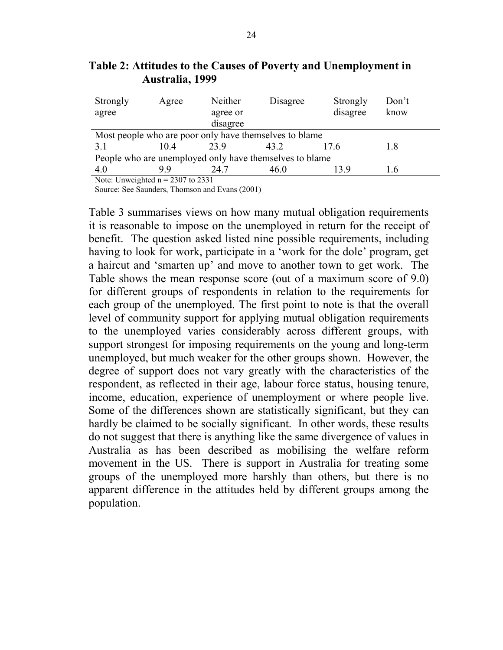| Strongly                                                | Agree | Neither  | Disagree | Strongly | Don't |  |
|---------------------------------------------------------|-------|----------|----------|----------|-------|--|
| agree                                                   |       | agree or |          |          | know  |  |
|                                                         |       | disagree |          |          |       |  |
| Most people who are poor only have themselves to blame  |       |          |          |          |       |  |
| 3.1                                                     | 104   | 23.9     | 43.2     | 17.6     | 1.8   |  |
| People who are unemployed only have themselves to blame |       |          |          |          |       |  |
| 4.0                                                     | 99    | 24 7     | 46.0     | 139      | 1.6   |  |
| Note: Unweighted $n = 2307$ to 2331                     |       |          |          |          |       |  |

**Table 2: Attitudes to the Causes of Poverty and Unemployment in Australia, 1999** 

Ite: Unweighted  $n = 2307$  to 2331 Source: See Saunders, Thomson and Evans (2001)

Table 3 summarises views on how many mutual obligation requirements it is reasonable to impose on the unemployed in return for the receipt of benefit. The question asked listed nine possible requirements, including having to look for work, participate in a 'work for the dole' program, get a haircut and 'smarten up' and move to another town to get work. The Table shows the mean response score (out of a maximum score of 9.0) for different groups of respondents in relation to the requirements for each group of the unemployed. The first point to note is that the overall level of community support for applying mutual obligation requirements to the unemployed varies considerably across different groups, with support strongest for imposing requirements on the young and long-term unemployed, but much weaker for the other groups shown. However, the degree of support does not vary greatly with the characteristics of the respondent, as reflected in their age, labour force status, housing tenure, income, education, experience of unemployment or where people live. Some of the differences shown are statistically significant, but they can hardly be claimed to be socially significant. In other words, these results do not suggest that there is anything like the same divergence of values in Australia as has been described as mobilising the welfare reform movement in the US. There is support in Australia for treating some groups of the unemployed more harshly than others, but there is no apparent difference in the attitudes held by different groups among the population.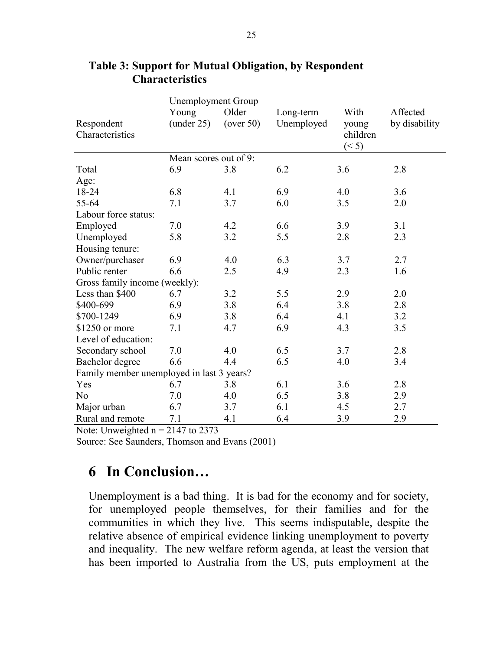|                                           | <b>Unemployment Group</b> |           |            |          |               |  |
|-------------------------------------------|---------------------------|-----------|------------|----------|---------------|--|
|                                           | Young                     | Older     | Long-term  | With     | Affected      |  |
| Respondent                                | (under 25)                | (over 50) | Unemployed | young    | by disability |  |
| Characteristics                           |                           |           |            | children |               |  |
|                                           |                           |           |            | (< 5)    |               |  |
|                                           | Mean scores out of 9:     |           |            |          |               |  |
| Total                                     | 6.9                       | 3.8       | 6.2        | 3.6      | 2.8           |  |
| Age:                                      |                           |           |            |          |               |  |
| 18-24                                     | 6.8                       | 4.1       | 6.9        | 4.0      | 3.6           |  |
| 55-64                                     | 7.1                       | 3.7       | 6.0        | 3.5      | 2.0           |  |
| Labour force status:                      |                           |           |            |          |               |  |
| Employed                                  | 7.0                       | 4.2       | 6.6        | 3.9      | 3.1           |  |
| Unemployed                                | 5.8                       | 3.2       | 5.5        | 2.8      | 2.3           |  |
| Housing tenure:                           |                           |           |            |          |               |  |
| Owner/purchaser                           | 6.9                       | 4.0       | 6.3        | 3.7      | 2.7           |  |
| Public renter                             | 6.6                       | 2.5       | 4.9        | 2.3      | 1.6           |  |
| Gross family income (weekly):             |                           |           |            |          |               |  |
| Less than \$400                           | 6.7                       | 3.2       | 5.5        | 2.9      | 2.0           |  |
| \$400-699                                 | 6.9                       | 3.8       | 6.4        | 3.8      | 2.8           |  |
| \$700-1249                                | 6.9                       | 3.8       | 6.4        | 4.1      | 3.2           |  |
| \$1250 or more                            | 7.1                       | 4.7       | 6.9        | 4.3      | 3.5           |  |
| Level of education:                       |                           |           |            |          |               |  |
| Secondary school                          | 7.0                       | 4.0       | 6.5        | 3.7      | 2.8           |  |
| Bachelor degree                           | 6.6                       | 4.4       | 6.5        | 4.0      | 3.4           |  |
| Family member unemployed in last 3 years? |                           |           |            |          |               |  |
| Yes                                       | 6.7                       | 3.8       | 6.1        | 3.6      | 2.8           |  |
| N <sub>0</sub>                            | 7.0                       | 4.0       | 6.5        | 3.8      | 2.9           |  |
| Major urban                               | 6.7                       | 3.7       | 6.1        | 4.5      | 2.7           |  |
| Rural and remote                          | 7.1                       | 4.1       | 6.4        | 3.9      | 2.9           |  |

#### **Table 3: Support for Mutual Obligation, by Respondent Characteristics**

Note: Unweighted  $n = 2147$  to 2373

Source: See Saunders, Thomson and Evans (2001)

## **6 In Conclusion…**

Unemployment is a bad thing. It is bad for the economy and for society, for unemployed people themselves, for their families and for the communities in which they live. This seems indisputable, despite the relative absence of empirical evidence linking unemployment to poverty and inequality. The new welfare reform agenda, at least the version that has been imported to Australia from the US, puts employment at the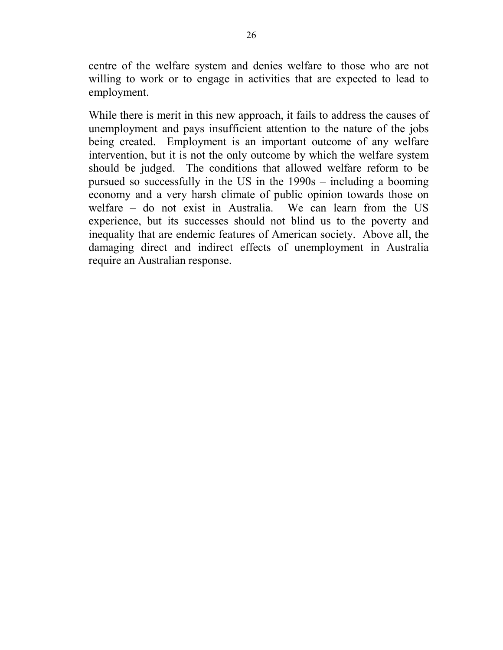centre of the welfare system and denies welfare to those who are not willing to work or to engage in activities that are expected to lead to employment.

While there is merit in this new approach, it fails to address the causes of unemployment and pays insufficient attention to the nature of the jobs being created. Employment is an important outcome of any welfare intervention, but it is not the only outcome by which the welfare system should be judged. The conditions that allowed welfare reform to be pursued so successfully in the US in the 1990s – including a booming economy and a very harsh climate of public opinion towards those on welfare – do not exist in Australia. We can learn from the US experience, but its successes should not blind us to the poverty and inequality that are endemic features of American society. Above all, the damaging direct and indirect effects of unemployment in Australia require an Australian response.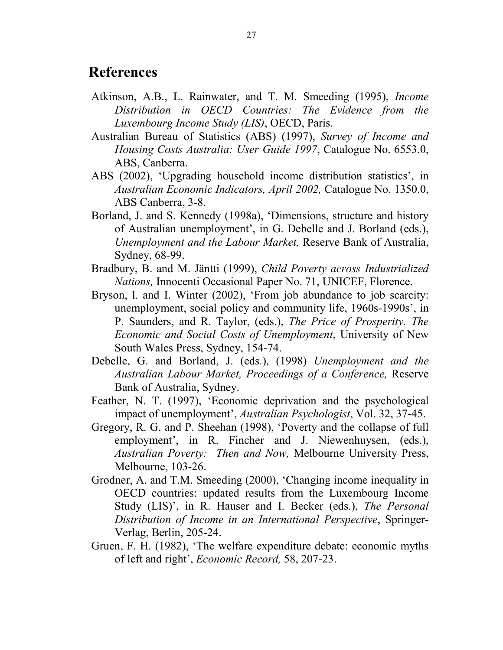#### **References**

- Atkinson, A.B., L. Rainwater, and T. M. Smeeding (1995), *Income Distribution in OECD Countries: The Evidence from the Luxembourg Income Study (LIS)*, OECD, Paris.
- Australian Bureau of Statistics (ABS) (1997), *Survey of Income and Housing Costs Australia: User Guide 1997*, Catalogue No. 6553.0, ABS, Canberra.
- ABS (2002), 'Upgrading household income distribution statistics', in *Australian Economic Indicators, April 2002,* Catalogue No. 1350.0, ABS Canberra, 3-8.
- Borland, J. and S. Kennedy (1998a), 'Dimensions, structure and history of Australian unemployment', in G. Debelle and J. Borland (eds.), *Unemployment and the Labour Market,* Reserve Bank of Australia, Sydney, 68-99.
- Bradbury, B. and M. Jäntti (1999), *Child Poverty across Industrialized Nations,* Innocenti Occasional Paper No. 71, UNICEF, Florence.
- Bryson, l. and I. Winter (2002), 'From job abundance to job scarcity: unemployment, social policy and community life, 1960s-1990s', in P. Saunders, and R. Taylor, (eds.), *The Price of Prosperity. The Economic and Social Costs of Unemployment*, University of New South Wales Press, Sydney, 154-74.
- Debelle, G. and Borland, J. (eds.), (1998) *Unemployment and the Australian Labour Market, Proceedings of a Conference,* Reserve Bank of Australia, Sydney.
- Feather, N. T. (1997), 'Economic deprivation and the psychological impact of unemployment', *Australian Psychologist*, Vol. 32, 37-45.
- Gregory, R. G. and P. Sheehan (1998), 'Poverty and the collapse of full employment', in R. Fincher and J. Niewenhuysen, (eds.), *Australian Poverty: Then and Now,* Melbourne University Press, Melbourne, 103-26.
- Grodner, A. and T.M. Smeeding (2000), 'Changing income inequality in OECD countries: updated results from the Luxembourg Income Study (LIS)', in R. Hauser and I. Becker (eds.), *The Personal Distribution of Income in an International Perspective*, Springer-Verlag, Berlin, 205-24.
- Gruen, F. H. (1982), 'The welfare expenditure debate: economic myths of left and right', *Economic Record,* 58, 207-23.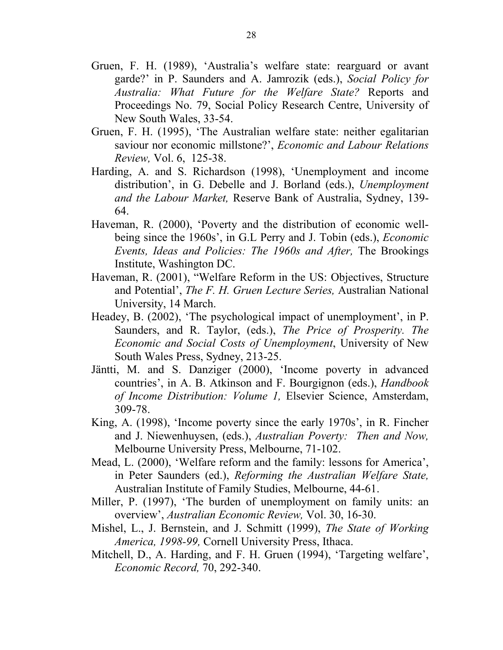- Gruen, F. H. (1989), 'Australia's welfare state: rearguard or avant garde?' in P. Saunders and A. Jamrozik (eds.), *Social Policy for Australia: What Future for the Welfare State?* Reports and Proceedings No. 79, Social Policy Research Centre, University of New South Wales, 33-54.
- Gruen, F. H. (1995), 'The Australian welfare state: neither egalitarian saviour nor economic millstone?', *Economic and Labour Relations Review,* Vol. 6, 125-38.
- Harding, A. and S. Richardson (1998), 'Unemployment and income distribution', in G. Debelle and J. Borland (eds.), *Unemployment and the Labour Market,* Reserve Bank of Australia, Sydney, 139- 64.
- Haveman, R. (2000), 'Poverty and the distribution of economic wellbeing since the 1960s', in G.L Perry and J. Tobin (eds.), *Economic Events, Ideas and Policies: The 1960s and After,* The Brookings Institute, Washington DC.
- Haveman, R. (2001), "Welfare Reform in the US: Objectives, Structure and Potential', *The F. H. Gruen Lecture Series,* Australian National University, 14 March.
- Headey, B. (2002), 'The psychological impact of unemployment', in P. Saunders, and R. Taylor, (eds.), *The Price of Prosperity. The Economic and Social Costs of Unemployment*, University of New South Wales Press, Sydney, 213-25.
- Jäntti, M. and S. Danziger (2000), 'Income poverty in advanced countries', in A. B. Atkinson and F. Bourgignon (eds.), *Handbook of Income Distribution: Volume 1,* Elsevier Science, Amsterdam, 309-78.
- King, A. (1998), 'Income poverty since the early 1970s', in R. Fincher and J. Niewenhuysen, (eds.), *Australian Poverty: Then and Now,*  Melbourne University Press, Melbourne, 71-102.
- Mead, L. (2000), 'Welfare reform and the family: lessons for America', in Peter Saunders (ed.), *Reforming the Australian Welfare State,*  Australian Institute of Family Studies, Melbourne, 44-61.
- Miller, P. (1997), 'The burden of unemployment on family units: an overview', *Australian Economic Review,* Vol. 30, 16-30.
- Mishel, L., J. Bernstein, and J. Schmitt (1999), *The State of Working America, 1998-99,* Cornell University Press, Ithaca.
- Mitchell, D., A. Harding, and F. H. Gruen (1994), 'Targeting welfare', *Economic Record,* 70, 292-340.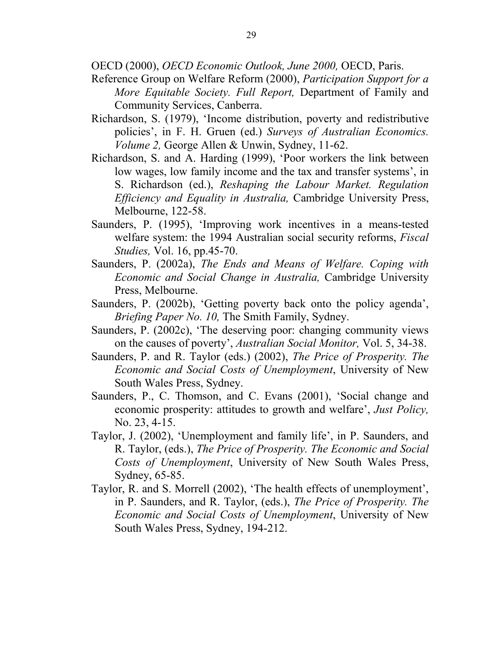OECD (2000), *OECD Economic Outlook, June 2000,* OECD, Paris.

- Reference Group on Welfare Reform (2000), *Participation Support for a More Equitable Society. Full Report,* Department of Family and Community Services, Canberra.
- Richardson, S. (1979), 'Income distribution, poverty and redistributive policies', in F. H. Gruen (ed.) *Surveys of Australian Economics. Volume 2,* George Allen & Unwin, Sydney, 11-62.
- Richardson, S. and A. Harding (1999), 'Poor workers the link between low wages, low family income and the tax and transfer systems', in S. Richardson (ed.), *Reshaping the Labour Market. Regulation Efficiency and Equality in Australia,* Cambridge University Press, Melbourne, 122-58.
- Saunders, P. (1995), 'Improving work incentives in a means-tested welfare system: the 1994 Australian social security reforms, *Fiscal Studies,* Vol. 16, pp.45-70.
- Saunders, P. (2002a), *The Ends and Means of Welfare. Coping with Economic and Social Change in Australia,* Cambridge University Press, Melbourne.
- Saunders, P. (2002b), 'Getting poverty back onto the policy agenda', *Briefing Paper No. 10,* The Smith Family, Sydney.
- Saunders, P. (2002c), 'The deserving poor: changing community views on the causes of poverty', *Australian Social Monitor,* Vol. 5, 34-38.
- Saunders, P. and R. Taylor (eds.) (2002), *The Price of Prosperity. The Economic and Social Costs of Unemployment*, University of New South Wales Press, Sydney.
- Saunders, P., C. Thomson, and C. Evans (2001), 'Social change and economic prosperity: attitudes to growth and welfare', *Just Policy,* No. 23, 4-15.
- Taylor, J. (2002), 'Unemployment and family life', in P. Saunders, and R. Taylor, (eds.), *The Price of Prosperity. The Economic and Social Costs of Unemployment*, University of New South Wales Press, Sydney, 65-85.
- Taylor, R. and S. Morrell (2002), 'The health effects of unemployment', in P. Saunders, and R. Taylor, (eds.), *The Price of Prosperity. The Economic and Social Costs of Unemployment*, University of New South Wales Press, Sydney, 194-212.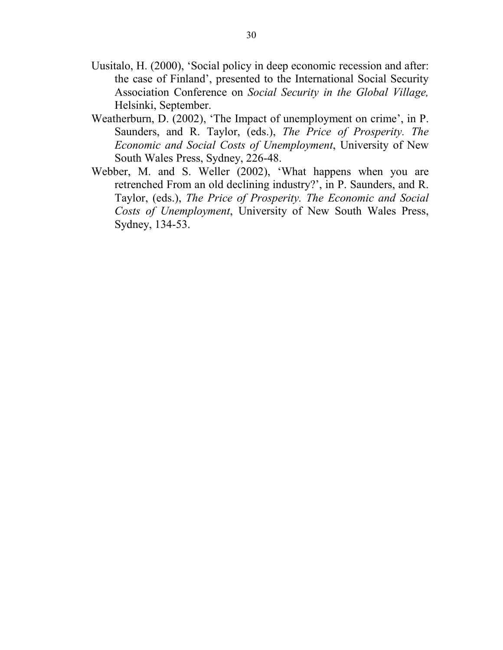- Uusitalo, H. (2000), 'Social policy in deep economic recession and after: the case of Finland', presented to the International Social Security Association Conference on *Social Security in the Global Village,*  Helsinki, September.
- Weatherburn, D. (2002), 'The Impact of unemployment on crime', in P. Saunders, and R. Taylor, (eds.), *The Price of Prosperity. The Economic and Social Costs of Unemployment*, University of New South Wales Press, Sydney, 226-48.
- Webber, M. and S. Weller (2002), 'What happens when you are retrenched From an old declining industry?', in P. Saunders, and R. Taylor, (eds.), *The Price of Prosperity. The Economic and Social Costs of Unemployment*, University of New South Wales Press, Sydney, 134-53.